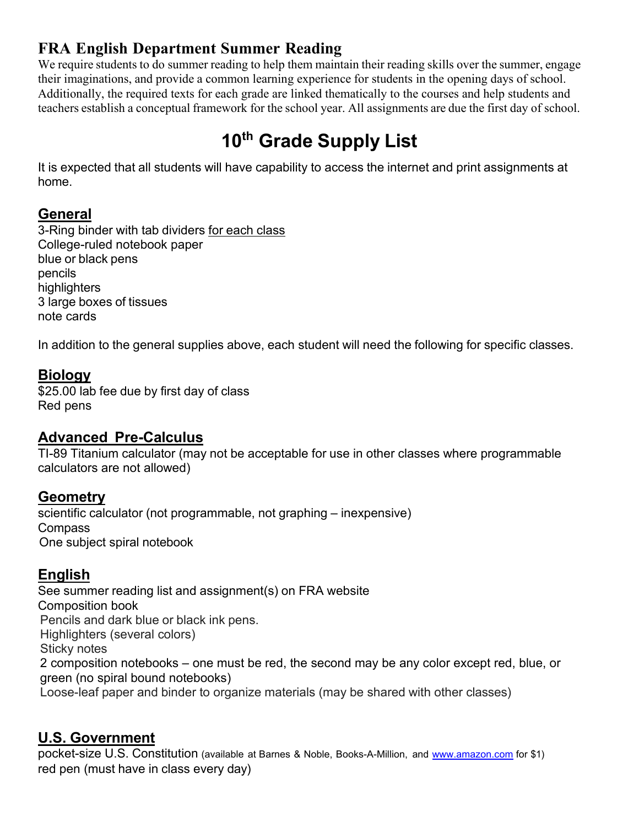# **FRA English Department Summer Reading**

We require students to do summer reading to help them maintain their reading skills over the summer, engage their imaginations, and provide a common learning experience for students in the opening days of school. Additionally, the required texts for each grade are linked thematically to the courses and help students and teachers establish a conceptual framework for the school year. All assignments are due the first day of school.

# **10th Grade Supply List**

It is expected that all students will have capability to access the internet and print assignments at home.

## **General**

3-Ring binder with tab dividers for each class College-ruled notebook paper blue or black pens pencils highlighters 3 large boxes of tissues note cards

In addition to the general supplies above, each student will need the following for specific classes.

## **Biology**

\$25.00 lab fee due by first day of class Red pens

#### **Advanced Pre-Calculus**

TI-89 Titanium calculator (may not be acceptable for use in other classes where programmable calculators are not allowed)

#### **Geometry**

scientific calculator (not programmable, not graphing – inexpensive) Compass One subject spiral notebook

## **English**

See summer reading list and assignment(s) on FRA website Composition book Pencils and dark blue or black ink pens. Highlighters (several colors) Sticky notes 2 composition notebooks – one must be red, the second may be any color except red, blue, or green (no spiral bound notebooks) Loose-leaf paper and binder to organize materials (may be shared with other classes)

#### **U.S. Government**

pocket-size U.S. Constitution (available at Barnes & Noble, Books-A-Million, and [www.amazon.com](http://www.amazon.com/) for \$1) red pen (must have in class every day)